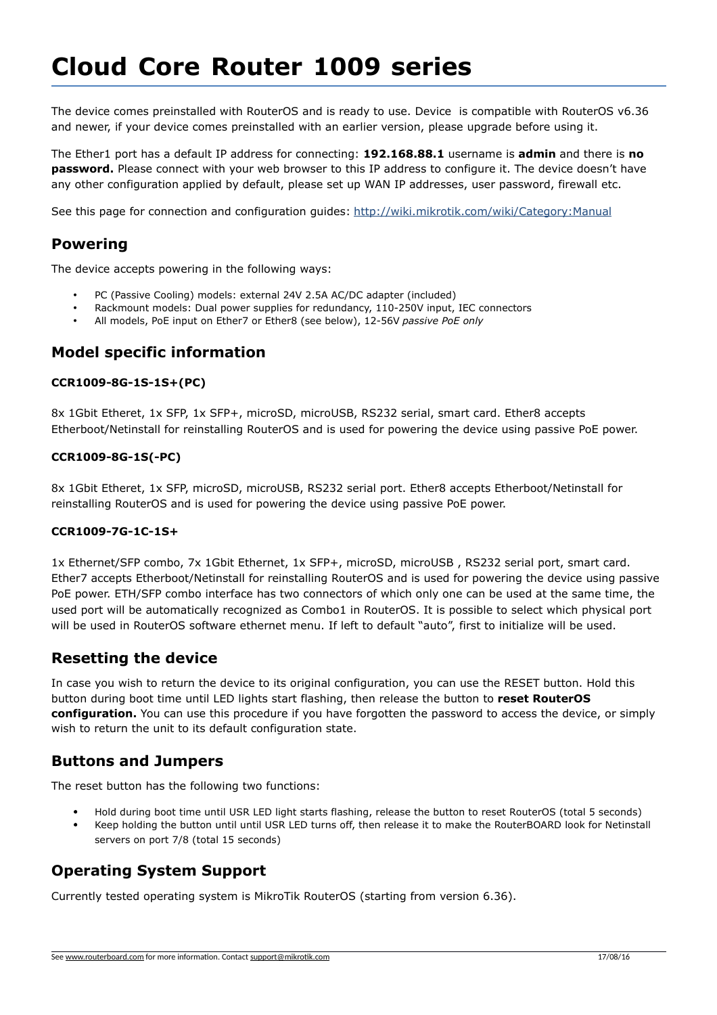# **Cloud Core Router 1009 series**

The device comes preinstalled with RouterOS and is ready to use. Device is compatible with RouterOS v6.36 and newer, if your device comes preinstalled with an earlier version, please upgrade before using it.

The Ether1 port has a default IP address for connecting: **192.168.88.1** username is **admin** and there is **no password.** Please connect with your web browser to this IP address to configure it. The device doesn't have any other configuration applied by default, please set up WAN IP addresses, user password, firewall etc.

See this page for connection and configuration guides:<http://wiki.mikrotik.com/wiki/Category:Manual>

# **Powering**

The device accepts powering in the following ways:

- PC (Passive Cooling) models: external 24V 2.5A AC/DC adapter (included)
- Rackmount models: Dual power supplies for redundancy, 110-250V input, IEC connectors
- All models, PoE input on Ether7 or Ether8 (see below), 12-56V *passive PoE only*

## **Model specific information**

#### **CCR1009-8G-1S-1S+(PC)**

8x 1Gbit Etheret, 1x SFP, 1x SFP+, microSD, microUSB, RS232 serial, smart card. Ether8 accepts Etherboot/Netinstall for reinstalling RouterOS and is used for powering the device using passive PoE power.

#### **CCR1009-8G-1S(-PC)**

8x 1Gbit Etheret, 1x SFP, microSD, microUSB, RS232 serial port. Ether8 accepts Etherboot/Netinstall for reinstalling RouterOS and is used for powering the device using passive PoE power.

#### **CCR1009-7G-1C-1S+**

1x Ethernet/SFP combo, 7x 1Gbit Ethernet, 1x SFP+, microSD, microUSB , RS232 serial port, smart card. Ether7 accepts Etherboot/Netinstall for reinstalling RouterOS and is used for powering the device using passive PoE power. ETH/SFP combo interface has two connectors of which only one can be used at the same time, the used port will be automatically recognized as Combo1 in RouterOS. It is possible to select which physical port will be used in RouterOS software ethernet menu. If left to default "auto", first to initialize will be used.

## **Resetting the device**

In case you wish to return the device to its original configuration, you can use the RESET button. Hold this button during boot time until LED lights start flashing, then release the button to **reset RouterOS configuration.** You can use this procedure if you have forgotten the password to access the device, or simply wish to return the unit to its default configuration state.

## **Buttons and Jumpers**

The reset button has the following two functions:

- Hold during boot time until USR LED light starts flashing, release the button to reset RouterOS (total 5 seconds)
- Keep holding the button until until USR LED turns off, then release it to make the RouterBOARD look for Netinstall servers on port 7/8 (total 15 seconds)

# **Operating System Support**

Currently tested operating system is MikroTik RouterOS (starting from version 6.36).